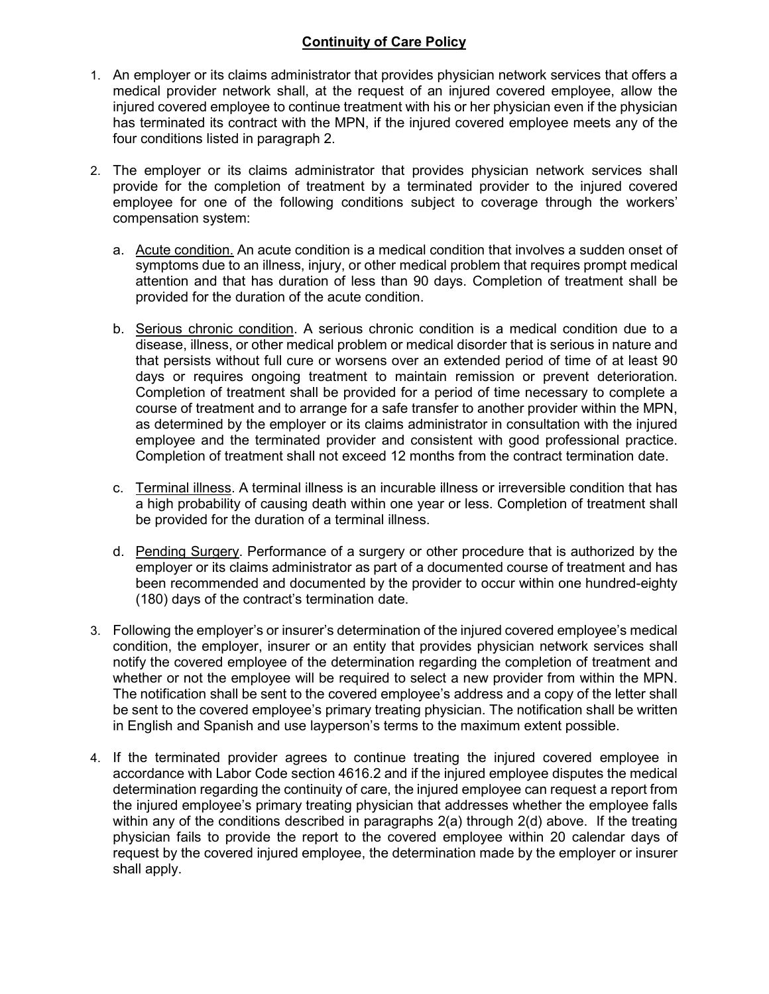## Continuity of Care Policy

- 1. An employer or its claims administrator that provides physician network services that offers a medical provider network shall, at the request of an injured covered employee, allow the injured covered employee to continue treatment with his or her physician even if the physician has terminated its contract with the MPN, if the injured covered employee meets any of the four conditions listed in paragraph 2.
- 2. The employer or its claims administrator that provides physician network services shall provide for the completion of treatment by a terminated provider to the injured covered employee for one of the following conditions subject to coverage through the workers' compensation system:
	- a. Acute condition. An acute condition is a medical condition that involves a sudden onset of symptoms due to an illness, injury, or other medical problem that requires prompt medical attention and that has duration of less than 90 days. Completion of treatment shall be provided for the duration of the acute condition.
	- b. Serious chronic condition. A serious chronic condition is a medical condition due to a disease, illness, or other medical problem or medical disorder that is serious in nature and that persists without full cure or worsens over an extended period of time of at least 90 days or requires ongoing treatment to maintain remission or prevent deterioration. Completion of treatment shall be provided for a period of time necessary to complete a course of treatment and to arrange for a safe transfer to another provider within the MPN, as determined by the employer or its claims administrator in consultation with the injured employee and the terminated provider and consistent with good professional practice. Completion of treatment shall not exceed 12 months from the contract termination date.
	- c. Terminal illness. A terminal illness is an incurable illness or irreversible condition that has a high probability of causing death within one year or less. Completion of treatment shall be provided for the duration of a terminal illness.
	- d. Pending Surgery. Performance of a surgery or other procedure that is authorized by the employer or its claims administrator as part of a documented course of treatment and has been recommended and documented by the provider to occur within one hundred-eighty (180) days of the contract's termination date.
- 3. Following the employer's or insurer's determination of the injured covered employee's medical condition, the employer, insurer or an entity that provides physician network services shall notify the covered employee of the determination regarding the completion of treatment and whether or not the employee will be required to select a new provider from within the MPN. The notification shall be sent to the covered employee's address and a copy of the letter shall be sent to the covered employee's primary treating physician. The notification shall be written in English and Spanish and use layperson's terms to the maximum extent possible.
- 4. If the terminated provider agrees to continue treating the injured covered employee in accordance with Labor Code section 4616.2 and if the injured employee disputes the medical determination regarding the continuity of care, the injured employee can request a report from the injured employee's primary treating physician that addresses whether the employee falls within any of the conditions described in paragraphs 2(a) through 2(d) above. If the treating physician fails to provide the report to the covered employee within 20 calendar days of request by the covered injured employee, the determination made by the employer or insurer shall apply.